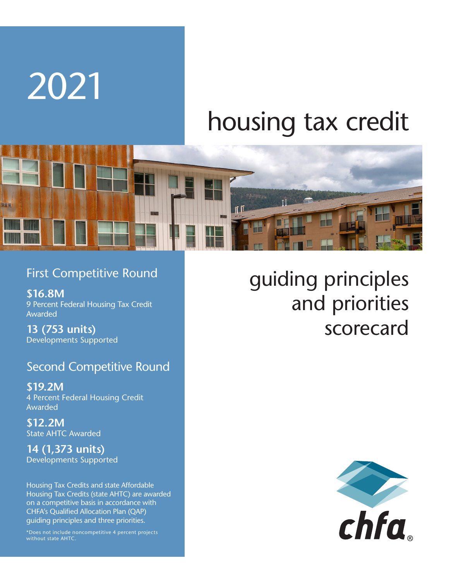# housing tax credit



## First Competitive Round

**\$16.8M**  9 Percent Federal Housing Tax Credit Awarded

**13 (753 units)**  Developments Supported

2021

## Second Competitive Round

**\$19.2M**  4 Percent Federal Housing Credit Awarded

**\$12.2M**  State AHTC Awarded

**14 (1,373 units)**  Developments Supported

Housing Tax Credits and state Affordable Housing Tax Credits (state AHTC) are awarded on a competitive basis in accordance with CHFA's Qualified Allocation Plan (QAP) guiding principles and three priorities.

\*Does not include noncompetitive 4 percent projects

# guiding principles and priorities scorecard

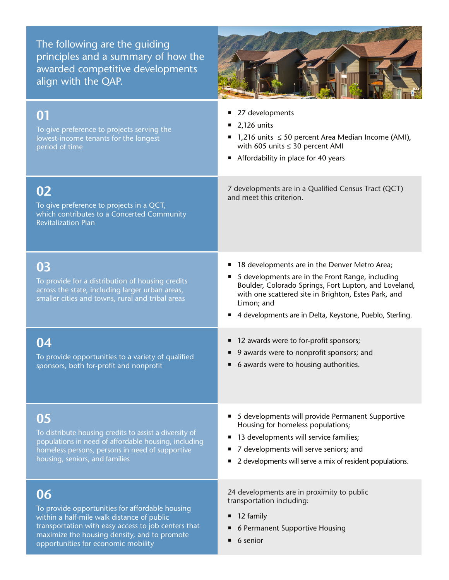The following are the guiding principles and a summary of how the awarded competitive developments align with the QAP.



| 01<br>To give preference to projects serving the<br>lowest-income tenants for the longest<br>period of time                                                                                                                                       | 27 developments<br>2,126 units<br>1,216 units $\leq$ 50 percent Area Median Income (AMI),<br>with 605 units $\leq$ 30 percent AMI<br>Affordability in place for 40 years                                                                                                                     |
|---------------------------------------------------------------------------------------------------------------------------------------------------------------------------------------------------------------------------------------------------|----------------------------------------------------------------------------------------------------------------------------------------------------------------------------------------------------------------------------------------------------------------------------------------------|
| 02<br>To give preference to projects in a QCT,<br>which contributes to a Concerted Community<br><b>Revitalization Plan</b>                                                                                                                        | 7 developments are in a Qualified Census Tract (QCT)<br>and meet this criterion.                                                                                                                                                                                                             |
| 03<br>To provide for a distribution of housing credits<br>across the state, including larger urban areas,<br>smaller cities and towns, rural and tribal areas                                                                                     | 18 developments are in the Denver Metro Area;<br>5 developments are in the Front Range, including<br>Boulder, Colorado Springs, Fort Lupton, and Loveland,<br>with one scattered site in Brighton, Estes Park, and<br>Limon; and<br>4 developments are in Delta, Keystone, Pueblo, Sterling. |
| 04<br>To provide opportunities to a variety of qualified<br>sponsors, both for-profit and nonprofit                                                                                                                                               | 12 awards were to for-profit sponsors;<br>9 awards were to nonprofit sponsors; and<br>6 awards were to housing authorities.                                                                                                                                                                  |
| 05<br>To distribute housing credits to assist a diversity of<br>populations in need of affordable housing, including<br>homeless persons, persons in need of supportive<br>housing, seniors, and families                                         | 5 developments will provide Permanent Supportive<br>٠<br>Housing for homeless populations;<br>13 developments will service families;<br>7 developments will serve seniors; and<br>2 developments will serve a mix of resident populations.                                                   |
| 06<br>To provide opportunities for affordable housing<br>within a half-mile walk distance of public<br>transportation with easy access to job centers that<br>maximize the housing density, and to promote<br>opportunities for economic mobility | 24 developments are in proximity to public<br>transportation including:<br>12 family<br>6 Permanent Supportive Housing<br>6 senior                                                                                                                                                           |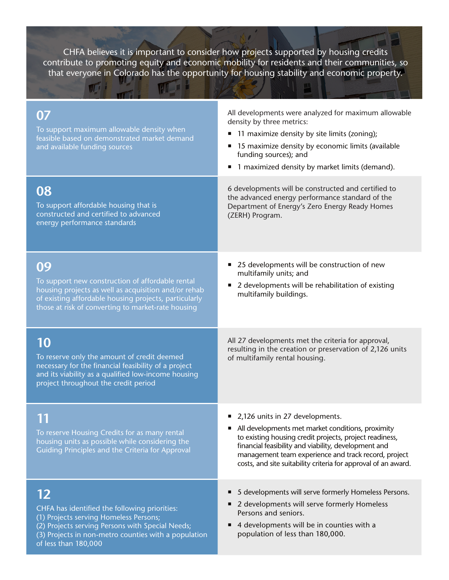CHFA believes it is important to consider how projects supported by housing credits contribute to promoting equity and economic mobility for residents and their communities, so that everyone in Colorado has the opportunity for housing stability and economic property.

**AL** 

WI :

| 07<br>To support maximum allowable density when<br>feasible based on demonstrated market demand<br>and available funding sources                                                                                              | All developments were analyzed for maximum allowable<br>density by three metrics:<br>11 maximize density by site limits (zoning);<br>15 maximize density by economic limits (available<br>funding sources); and<br>1 maximized density by market limits (demand).<br>ш                                                            |
|-------------------------------------------------------------------------------------------------------------------------------------------------------------------------------------------------------------------------------|-----------------------------------------------------------------------------------------------------------------------------------------------------------------------------------------------------------------------------------------------------------------------------------------------------------------------------------|
| 08<br>To support affordable housing that is<br>constructed and certified to advanced<br>energy performance standards                                                                                                          | 6 developments will be constructed and certified to<br>the advanced energy performance standard of the<br>Department of Energy's Zero Energy Ready Homes<br>(ZERH) Program.                                                                                                                                                       |
| 09<br>To support new construction of affordable rental<br>housing projects as well as acquisition and/or rehab<br>of existing affordable housing projects, particularly<br>those at risk of converting to market-rate housing | 25 developments will be construction of new<br>multifamily units; and<br>2 developments will be rehabilitation of existing<br>multifamily buildings.                                                                                                                                                                              |
|                                                                                                                                                                                                                               |                                                                                                                                                                                                                                                                                                                                   |
| 10<br>To reserve only the amount of credit deemed<br>necessary for the financial feasibility of a project<br>and its viability as a qualified low-income housing<br>project throughout the credit period                      | All 27 developments met the criteria for approval,<br>resulting in the creation or preservation of 2,126 units<br>of multifamily rental housing.                                                                                                                                                                                  |
| To reserve Housing Credits for as many rental<br>housing units as possible while considering the<br>Guiding Principles and the Criteria for Approval                                                                          | 2,126 units in 27 developments.<br>All developments met market conditions, proximity<br>to existing housing credit projects, project readiness,<br>financial feasibility and viability, development and<br>management team experience and track record, project<br>costs, and site suitability criteria for approval of an award. |